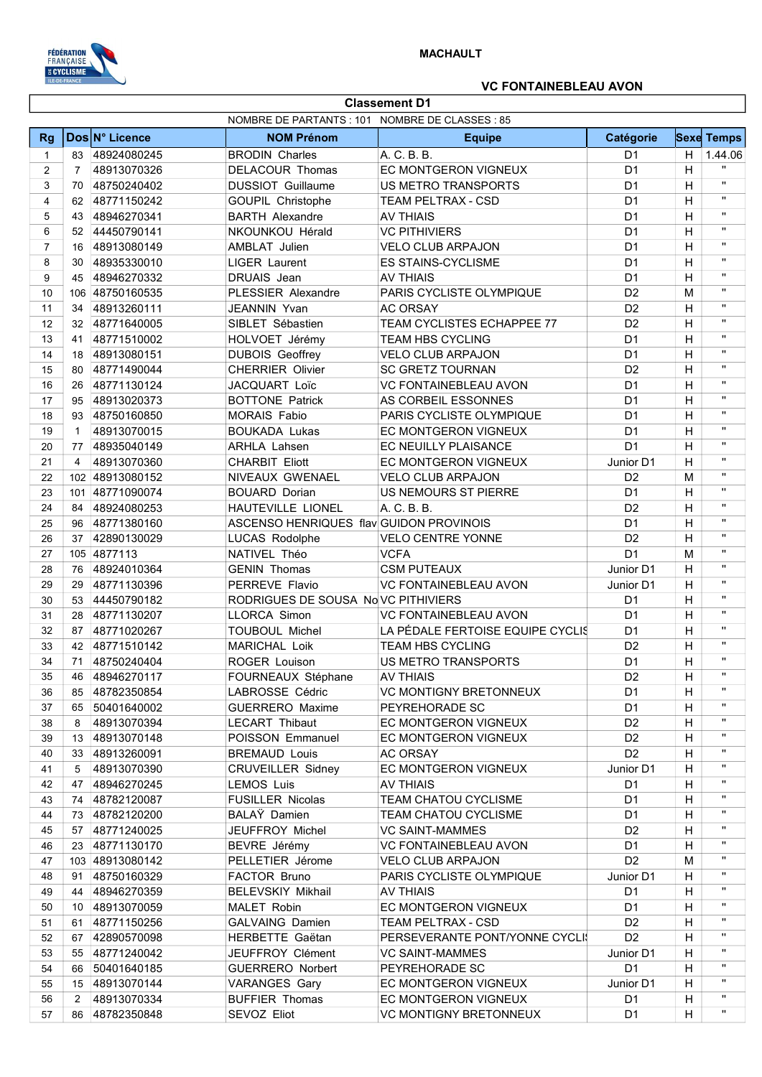

## VC FONTAINEBLEAU AVON

|                | <b>Classement D1</b> |                 |                                                 |                                  |                |    |                   |
|----------------|----------------------|-----------------|-------------------------------------------------|----------------------------------|----------------|----|-------------------|
|                |                      |                 | NOMBRE DE PARTANTS : 101 NOMBRE DE CLASSES : 85 |                                  |                |    |                   |
| <b>Rg</b>      |                      | Dos N° Licence  | <b>NOM Prénom</b>                               | <b>Equipe</b>                    | Catégorie      |    | <b>Sexe Temps</b> |
| 1              | 83                   | 48924080245     | <b>BRODIN Charles</b>                           | A. C. B. B.                      | D <sub>1</sub> | H. | 1.44.06           |
| $\overline{2}$ | $\overline{7}$       | 48913070326     | DELACOUR Thomas                                 | <b>EC MONTGERON VIGNEUX</b>      | D <sub>1</sub> | H  |                   |
| 3              | 70                   | 48750240402     | <b>DUSSIOT Guillaume</b>                        | US METRO TRANSPORTS              | D <sub>1</sub> | H  | $\mathbf{H}$      |
| 4              | 62                   | 48771150242     | GOUPIL Christophe                               | TEAM PELTRAX - CSD               | D <sub>1</sub> | H  | $\mathbf{H}$      |
| 5              | 43                   | 48946270341     | <b>BARTH Alexandre</b>                          | <b>AV THIAIS</b>                 | D <sub>1</sub> | H  | $\mathbf{H}$      |
| 6              | 52                   | 44450790141     | NKOUNKOU Hérald                                 | <b>VC PITHIVIERS</b>             | D <sub>1</sub> | H  | $\mathbf{H}$      |
| $\overline{7}$ | 16                   | 48913080149     | AMBLAT Julien                                   | <b>VELO CLUB ARPAJON</b>         | D <sub>1</sub> | H  | $\mathbf{H}$      |
| 8              | 30                   | 48935330010     | <b>LIGER Laurent</b>                            | <b>ES STAINS-CYCLISME</b>        | D <sub>1</sub> | H  | $\mathbf{H}$      |
| 9              | 45                   | 48946270332     | DRUAIS Jean                                     | <b>AV THIAIS</b>                 | D <sub>1</sub> | H  | $\mathbf{H}$      |
| 10             |                      | 106 48750160535 | PLESSIER Alexandre                              | PARIS CYCLISTE OLYMPIQUE         | D <sub>2</sub> | M  | $\mathbf{H}$      |
| 11             | 34                   | 48913260111     | JEANNIN Yvan                                    | <b>AC ORSAY</b>                  | D <sub>2</sub> | H  | $\mathbf{H}$      |
| 12             | 32                   | 48771640005     | SIBLET Sébastien                                | TEAM CYCLISTES ECHAPPEE 77       | D <sub>2</sub> | H  | $\mathbf{H}$      |
| 13             | 41                   | 48771510002     | HOLVOET Jérémy                                  | <b>TEAM HBS CYCLING</b>          | D <sub>1</sub> | H  | $\mathbf{H}$      |
| 14             | 18                   | 48913080151     | <b>DUBOIS Geoffrey</b>                          | <b>VELO CLUB ARPAJON</b>         | D <sub>1</sub> | H  | $\mathbf{H}$      |
| 15             | 80                   | 48771490044     | <b>CHERRIER Olivier</b>                         | <b>SC GRETZ TOURNAN</b>          | D <sub>2</sub> | H  | $\mathbf{H}$      |
| 16             | 26                   | 48771130124     | JACQUART Loïc                                   | <b>VC FONTAINEBLEAU AVON</b>     | D <sub>1</sub> | H  | $\mathbf{H}$      |
| 17             | 95                   | 48913020373     | <b>BOTTONE Patrick</b>                          | AS CORBEIL ESSONNES              | D <sub>1</sub> | H  | $\mathbf{H}$      |
| 18             | 93                   | 48750160850     | <b>MORAIS Fabio</b>                             | PARIS CYCLISTE OLYMPIQUE         | D <sub>1</sub> | H  | $\mathbf{H}$      |
| 19             | $\mathbf{1}$         | 48913070015     | <b>BOUKADA Lukas</b>                            | EC MONTGERON VIGNEUX             | D <sub>1</sub> | H  | $\mathbf{H}$      |
| 20             | 77                   | 48935040149     | <b>ARHLA Lahsen</b>                             | EC NEUILLY PLAISANCE             | D <sub>1</sub> | H  | $\mathbf{H}$      |
| 21             | 4                    | 48913070360     | <b>CHARBIT Eliott</b>                           | EC MONTGERON VIGNEUX             | Junior D1      | H  | $\mathbf{H}$      |
| 22             |                      | 102 48913080152 | NIVEAUX GWENAEL                                 | <b>VELO CLUB ARPAJON</b>         | D <sub>2</sub> | M  | $\mathbf{H}$      |
| 23             |                      | 101 48771090074 | <b>BOUARD Dorian</b>                            | US NEMOURS ST PIERRE             | D <sub>1</sub> | H  | $\mathbf{H}$      |
| 24             |                      | 84 48924080253  | HAUTEVILLE LIONEL                               | A. C. B. B.                      | D <sub>2</sub> | H  | $\mathbf{H}$      |
| 25             | 96                   | 48771380160     | ASCENSO HENRIQUES flav GUIDON PROVINOIS         |                                  | D <sub>1</sub> | H  | $\mathbf{H}$      |
| 26             |                      | 37 42890130029  | LUCAS Rodolphe                                  | <b>VELO CENTRE YONNE</b>         | D <sub>2</sub> | H  | $\mathbf{H}$      |
| 27             |                      | 105 4877113     | NATIVEL Théo                                    | <b>VCFA</b>                      | D <sub>1</sub> | M  | $\mathbf{H}$      |
| 28             | 76                   | 48924010364     | <b>GENIN Thomas</b>                             | <b>CSM PUTEAUX</b>               | Junior D1      | H  | $\mathbf{H}$      |
| 29             | 29                   | 48771130396     | PERREVE Flavio                                  | <b>VC FONTAINEBLEAU AVON</b>     | Junior D1      | H  | $\mathbf{H}$      |
| 30             | 53                   | 44450790182     | RODRIGUES DE SOUSA NoVC PITHIVIERS              |                                  | D <sub>1</sub> | H  | $\mathbf{H}$      |
| 31             | 28                   | 48771130207     | <b>LLORCA Simon</b>                             | <b>VC FONTAINEBLEAU AVON</b>     | D <sub>1</sub> | H  | $\mathbf{H}$      |
| 32             |                      | 87 48771020267  | <b>TOUBOUL Michel</b>                           | LA PÉDALE FERTOISE EQUIPE CYCLIS | D <sub>1</sub> | H  | $\mathbf{H}$      |
| 33             |                      | 42 48771510142  | <b>MARICHAL Loik</b>                            | <b>TEAM HBS CYCLING</b>          | D <sub>2</sub> | H  | $\mathbf{H}$      |
| 34             |                      | 71 48750240404  | ROGER Louison                                   | <b>US METRO TRANSPORTS</b>       | D <sub>1</sub> | H  | $\mathbf{H}$      |
| 35             | 46                   | 48946270117     | FOURNEAUX Stéphane                              | <b>AV THIAIS</b>                 | D <sub>2</sub> | Н  | $\mathbf{u}$      |
| 36             | 85                   | 48782350854     | LABROSSE Cédric                                 | <b>VC MONTIGNY BRETONNEUX</b>    | D1             | H  | $\mathbf{H}$      |
| 37             |                      | 65 50401640002  | <b>GUERRERO Maxime</b>                          | PEYREHORADE SC                   | D <sub>1</sub> | H  | $\mathbf{u}$      |
| 38             | 8                    | 48913070394     | LECART Thibaut                                  | EC MONTGERON VIGNEUX             | D <sub>2</sub> | H  | $\mathbf{H}$      |
| 39             |                      | 13 48913070148  | POISSON Emmanuel                                | EC MONTGERON VIGNEUX             | D <sub>2</sub> | H  | $\mathbf{u}$      |
| 40             |                      | 33 48913260091  | <b>BREMAUD Louis</b>                            | <b>AC ORSAY</b>                  | D <sub>2</sub> | н  | $\mathbf{u}$      |
| 41             | 5                    | 48913070390     | <b>CRUVEILLER Sidney</b>                        | EC MONTGERON VIGNEUX             | Junior D1      | н  | $\mathbf{H}$      |
| 42             |                      | 47 48946270245  | <b>LEMOS Luis</b>                               | <b>AV THIAIS</b>                 | D <sub>1</sub> | H  | $\mathbf{u}$      |
| 43             |                      | 74 48782120087  | <b>FUSILLER Nicolas</b>                         | <b>TEAM CHATOU CYCLISME</b>      | D <sub>1</sub> | H  | $\mathbf{H}$      |
| 44             |                      | 73 48782120200  | BALAY Damien                                    | TEAM CHATOU CYCLISME             | D1             | H  | $\mathbf{H}$      |
| 45             |                      | 57 48771240025  | JEUFFROY Michel                                 | <b>VC SAINT-MAMMES</b>           | D <sub>2</sub> | H  |                   |
| 46             |                      | 23 48771130170  | BEVRE Jérémy                                    | <b>VC FONTAINEBLEAU AVON</b>     | D <sub>1</sub> | H  | $\mathbf{H}$      |
| 47             |                      | 103 48913080142 | PELLETIER Jérome                                | <b>VELO CLUB ARPAJON</b>         | D <sub>2</sub> | М  | $\mathbf{H}$      |
| 48             | 91                   | 48750160329     | FACTOR Bruno                                    | PARIS CYCLISTE OLYMPIQUE         | Junior D1      | н  | $\mathbf{H}$      |
| 49             |                      | 44 48946270359  | <b>BELEVSKIY Mikhail</b>                        | <b>AV THIAIS</b>                 | D <sub>1</sub> | H  | $\mathbf{H}$      |
| 50             |                      | 10 48913070059  | MALET Robin                                     | EC MONTGERON VIGNEUX             | D <sub>1</sub> | H  | $\mathbf{H}$      |
| 51             |                      | 61 48771150256  | <b>GALVAING Damien</b>                          | TEAM PELTRAX - CSD               | D <sub>2</sub> | H  | $\mathbf{H}$      |
| 52             |                      | 67 42890570098  | HERBETTE Gaëtan                                 | PERSEVERANTE PONT/YONNE CYCLI!   | D <sub>2</sub> | H  | $\mathbf{u}$      |
| 53             |                      | 55 48771240042  | JEUFFROY Clément                                | <b>VC SAINT-MAMMES</b>           | Junior D1      | H  | $\mathbf{H}$      |
| 54             |                      | 66 50401640185  | <b>GUERRERO Norbert</b>                         | PEYREHORADE SC                   | D <sub>1</sub> | н  | $\mathbf{H}$      |
| 55             |                      | 15 48913070144  | <b>VARANGES Gary</b>                            | EC MONTGERON VIGNEUX             | Junior D1      | н  | $\mathbf{H}$      |
| 56             | $\mathbf{2}^{\circ}$ | 48913070334     | <b>BUFFIER Thomas</b>                           | EC MONTGERON VIGNEUX             | D1             | H  | $\mathbf{H}$      |
| 57             |                      | 86 48782350848  | SEVOZ Eliot                                     | VC MONTIGNY BRETONNEUX           | D1             | н  |                   |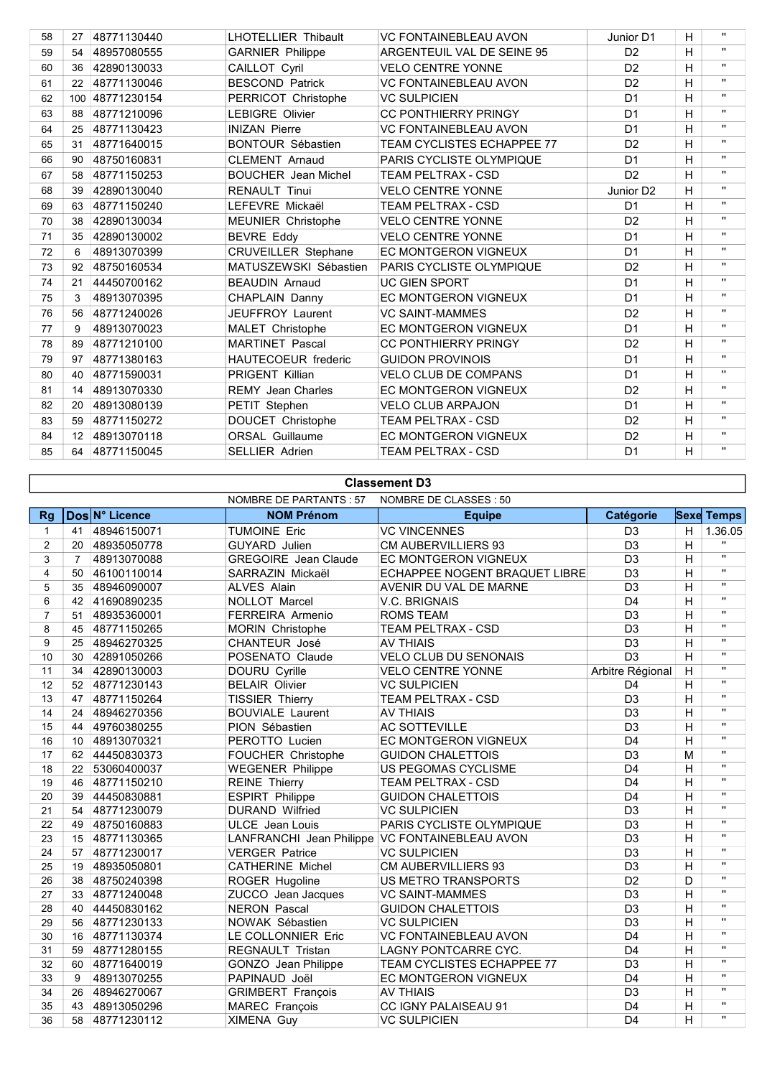| 58 | 27  | 48771130440 | <b>LHOTELLIER Thibault</b> | <b>VC FONTAINEBLEAU AVON</b>      | Junior D1             | H | $\mathbf{H}$ |
|----|-----|-------------|----------------------------|-----------------------------------|-----------------------|---|--------------|
| 59 | 54  | 48957080555 | <b>GARNIER Philippe</b>    | ARGENTEUIL VAL DE SEINE 95        | D <sub>2</sub>        | H | $\mathbf{u}$ |
| 60 | 36  | 42890130033 | CAILLOT Cyril              | <b>VELO CENTRE YONNE</b>          | D <sub>2</sub>        | H | $\mathbf{H}$ |
| 61 | 22  | 48771130046 | <b>BESCOND Patrick</b>     | <b>VC FONTAINEBLEAU AVON</b>      | D <sub>2</sub>        | H | $\mathbf{u}$ |
| 62 | 100 | 48771230154 | PERRICOT Christophe        | <b>VC SULPICIEN</b>               | D <sub>1</sub>        | H | $\mathbf{u}$ |
| 63 | 88  | 48771210096 | <b>LEBIGRE Olivier</b>     | <b>CC PONTHIERRY PRINGY</b>       | D <sub>1</sub>        | H | $\mathbf{u}$ |
| 64 | 25  | 48771130423 | <b>INIZAN Pierre</b>       | <b>VC FONTAINEBLEAU AVON</b>      | D <sub>1</sub>        | H | $\mathbf{u}$ |
| 65 | 31  | 48771640015 | <b>BONTOUR Sébastien</b>   | <b>TEAM CYCLISTES ECHAPPEE 77</b> | D <sub>2</sub>        | H | $\mathbf{u}$ |
| 66 | 90  | 48750160831 | <b>CLEMENT Arnaud</b>      | PARIS CYCLISTE OLYMPIQUE          | D <sub>1</sub>        | H | $\mathbf{H}$ |
| 67 | 58  | 48771150253 | <b>BOUCHER</b> Jean Michel | <b>TEAM PELTRAX - CSD</b>         | D <sub>2</sub>        | H | $\mathbf{u}$ |
| 68 | 39  | 42890130040 | <b>RENAULT Tinui</b>       | <b>VELO CENTRE YONNE</b>          | Junior D <sub>2</sub> | H | $\mathbf{u}$ |
| 69 | 63  | 48771150240 | LEFEVRE Mickaël            | TEAM PELTRAX - CSD                | D <sub>1</sub>        | H | $\mathbf{H}$ |
| 70 | 38  | 42890130034 | <b>MEUNIER Christophe</b>  | <b>VELO CENTRE YONNE</b>          | D <sub>2</sub>        | H | $\mathbf{H}$ |
| 71 | 35  | 42890130002 | <b>BEVRE Eddy</b>          | <b>VELO CENTRE YONNE</b>          | D <sub>1</sub>        | H | $\mathbf{u}$ |
| 72 | 6   | 48913070399 | <b>CRUVEILLER Stephane</b> | <b>EC MONTGERON VIGNEUX</b>       | D <sub>1</sub>        | н | $\mathbf{u}$ |
| 73 | 92  | 48750160534 | MATUSZEWSKI Sébastien      | PARIS CYCLISTE OLYMPIQUE          | D <sub>2</sub>        | H | $\mathbf{u}$ |
| 74 | 21  | 44450700162 | <b>BEAUDIN Arnaud</b>      | <b>UC GIEN SPORT</b>              | D <sub>1</sub>        | H | $\mathbf{H}$ |
| 75 | 3   | 48913070395 | CHAPLAIN Danny             | EC MONTGERON VIGNEUX              | D <sub>1</sub>        | H | $\mathbf{H}$ |
| 76 | 56  | 48771240026 | <b>JEUFFROY Laurent</b>    | <b>VC SAINT-MAMMES</b>            | D <sub>2</sub>        | H | $\mathbf{u}$ |
| 77 | 9   | 48913070023 | MALET Christophe           | EC MONTGERON VIGNEUX              | D <sub>1</sub>        | н | $\mathbf{u}$ |
| 78 | 89  | 48771210100 | <b>MARTINET Pascal</b>     | <b>CC PONTHIERRY PRINGY</b>       | D <sub>2</sub>        | H | $\mathbf{H}$ |
| 79 | 97  | 48771380163 | <b>HAUTECOEUR</b> frederic | <b>GUIDON PROVINOIS</b>           | D <sub>1</sub>        | H | $\mathbf{H}$ |
| 80 | 40  | 48771590031 | <b>PRIGENT Killian</b>     | <b>VELO CLUB DE COMPANS</b>       | D <sub>1</sub>        | н | $\mathbf{H}$ |
| 81 | 14  | 48913070330 | <b>REMY</b> Jean Charles   | <b>EC MONTGERON VIGNEUX</b>       | D <sub>2</sub>        | H | $\mathbf{H}$ |
| 82 | 20  | 48913080139 | PETIT Stephen              | <b>VELO CLUB ARPAJON</b>          | D <sub>1</sub>        | H | $\mathbf{H}$ |
| 83 | 59  | 48771150272 | DOUCET Christophe          | <b>TEAM PELTRAX - CSD</b>         | D <sub>2</sub>        | н | $\mathbf{H}$ |
| 84 | 12  | 48913070118 | <b>ORSAL Guillaume</b>     | <b>EC MONTGERON VIGNEUX</b>       | D <sub>2</sub>        | H | $\mathbf{H}$ |
| 85 | 64  | 48771150045 | <b>SELLIER Adrien</b>      | <b>TEAM PELTRAX - CSD</b>         | D <sub>1</sub>        | H | $\mathbf{H}$ |
|    |     |             |                            |                                   |                       |   |              |

## Classement D3

 $\lceil$ 

|                |                |                | NOMBRE DE PARTANTS : 57     | NOMBRE DE CLASSES : 50                         |                  |                |                   |
|----------------|----------------|----------------|-----------------------------|------------------------------------------------|------------------|----------------|-------------------|
| <b>Rg</b>      |                | Dos N° Licence | <b>NOM Prénom</b>           | <b>Equipe</b>                                  | Catégorie        |                | <b>Sexe Temps</b> |
| $\mathbf{1}$   | 41             | 48946150071    | <b>TUMOINE Eric</b>         | <b>VC VINCENNES</b>                            | D <sub>3</sub>   | H              | 1.36.05           |
| $\overline{2}$ | 20             | 48935050778    | <b>GUYARD</b> Julien        | <b>CM AUBERVILLIERS 93</b>                     | D <sub>3</sub>   | H              | $\mathbf{H}$      |
| 3              | $\overline{7}$ | 48913070088    | <b>GREGOIRE</b> Jean Claude | <b>EC MONTGERON VIGNEUX</b>                    | D <sub>3</sub>   | H              | $\mathbf{H}$      |
| 4              | 50             | 46100110014    | SARRAZIN Mickaël            | ECHAPPEE NOGENT BRAQUET LIBRE                  | D <sub>3</sub>   | H              | п.                |
| 5              | 35             | 48946090007    | <b>ALVES Alain</b>          | AVENIR DU VAL DE MARNE                         | D <sub>3</sub>   | H              | $\mathbf{u}$      |
| 6              | 42             | 41690890235    | NOLLOT Marcel               | V.C. BRIGNAIS                                  | D <sub>4</sub>   | H              | $\mathbf{u}$      |
| $\overline{7}$ | 51             | 48935360001    | FERREIRA Armenio            | <b>ROMS TEAM</b>                               | D <sub>3</sub>   | H              | $\mathbf{H}$      |
| 8              | 45             | 48771150265    | MORIN Christophe            | TEAM PELTRAX - CSD                             | D <sub>3</sub>   | H              | $\mathbf{u}$      |
| 9              | 25             | 48946270325    | CHANTEUR José               | <b>AV THIAIS</b>                               | D <sub>3</sub>   | H              | $\mathbf{u}$      |
| 10             | 30             | 42891050266    | POSENATO Claude             | <b>VELO CLUB DU SENONAIS</b>                   | $\overline{D3}$  | H              | $\mathbf{u}$      |
| 11             | 34             | 42890130003    | DOURU Cyrille               | <b>VELO CENTRE YONNE</b>                       | Arbitre Régional | H              | $\mathbf{H}$      |
| 12             | 52             | 48771230143    | <b>BELAIR Olivier</b>       | <b>VC SULPICIEN</b>                            | D <sub>4</sub>   | H              | $\mathbf{u}$      |
| 13             | 47             | 48771150264    | <b>TISSIER Thierry</b>      | <b>TEAM PELTRAX - CSD</b>                      | D <sub>3</sub>   | H              | $\mathbf{u}$      |
| 14             | 24             | 48946270356    | <b>BOUVIALE Laurent</b>     | <b>AV THIAIS</b>                               | D <sub>3</sub>   | $\mathsf{H}$   | $\mathbf{u}$      |
| 15             | 44             | 49760380255    | PION Sébastien              | <b>AC SOTTEVILLE</b>                           | D <sub>3</sub>   | H              | $\mathbf{H}$      |
| 16             | 10             | 48913070321    | PEROTTO Lucien              | EC MONTGERON VIGNEUX                           | D <sub>4</sub>   | H              | $\mathbf{H}$      |
| 17             |                | 62 44450830373 | <b>FOUCHER Christophe</b>   | <b>GUIDON CHALETTOIS</b>                       | D3               | M              | $\overline{u}$    |
| 18             |                | 22 53060400037 | <b>WEGENER Philippe</b>     | US PEGOMAS CYCLISME                            | D <sub>4</sub>   | $\overline{H}$ | $\mathbf{H}$      |
| 19             | 46             | 48771150210    | <b>REINE Thierry</b>        | TEAM PELTRAX - CSD                             | D <sub>4</sub>   | H              | п.                |
| 20             | 39             | 44450830881    | <b>ESPIRT Philippe</b>      | <b>GUIDON CHALETTOIS</b>                       | D <sub>4</sub>   | H              | $\mathbf{u}$      |
| 21             | 54             | 48771230079    | <b>DURAND Wilfried</b>      | <b>VC SULPICIEN</b>                            | D <sub>3</sub>   | H              | $\mathbf{u}$      |
| 22             | 49             | 48750160883    | <b>ULCE</b> Jean Louis      | PARIS CYCLISTE OLYMPIQUE                       | D <sub>3</sub>   | H              | $\mathbf{u}$      |
| 23             | 15             | 48771130365    |                             | LANFRANCHI Jean Philippe VC FONTAINEBLEAU AVON | D <sub>3</sub>   | H              | $\mathbf{u}$      |
| 24             | 57             | 48771230017    | <b>VERGER Patrice</b>       | <b>VC SULPICIEN</b>                            | D <sub>3</sub>   | H              | $\mathbf{H}$      |
| 25             | 19             | 48935050801    | <b>CATHERINE Michel</b>     | CM AUBERVILLIERS 93                            | D <sub>3</sub>   | H              | $\mathbf{u}$      |
| 26             | 38             | 48750240398    | ROGER Hugoline              | <b>US METRO TRANSPORTS</b>                     | D <sub>2</sub>   | D              | $\mathbf{H}$      |
| 27             | 33             | 48771240048    | ZUCCO Jean Jacques          | <b>VC SAINT-MAMMES</b>                         | D <sub>3</sub>   | H              | H.                |
| 28             | 40             | 44450830162    | <b>NERON Pascal</b>         | <b>GUIDON CHALETTOIS</b>                       | D <sub>3</sub>   | H              | H.                |
| 29             | 56             | 48771230133    | NOWAK Sébastien             | <b>VC SULPICIEN</b>                            | D <sub>3</sub>   | H              | $\mathbf{u}$      |
| 30             | 16             | 48771130374    | LE COLLONNIER Eric          | <b>VC FONTAINEBLEAU AVON</b>                   | D <sub>4</sub>   | H              | $\mathbf{H}$      |
| 31             | 59             | 48771280155    | <b>REGNAULT Tristan</b>     | LAGNY PONTCARRE CYC.                           | D <sub>4</sub>   | H              | $\mathbf{u}$      |
| 32             | 60             | 48771640019    | GONZO Jean Philippe         | TEAM CYCLISTES ECHAPPEE 77                     | D <sub>3</sub>   | H              | $\mathbf{H}$      |
| 33             | 9              | 48913070255    | PAPINAUD Joël               | <b>EC MONTGERON VIGNEUX</b>                    | D <sub>4</sub>   | H              | $\overline{u}$    |
| 34             | 26             | 48946270067    | <b>GRIMBERT François</b>    | <b>AV THIAIS</b>                               | D <sub>3</sub>   | $\overline{H}$ | $\mathbf{H}$      |
| 35             | 43             | 48913050296    | <b>MAREC</b> François       | CC IGNY PALAISEAU 91                           | D <sub>4</sub>   | H              | п.                |
| 36             | 58             | 48771230112    | <b>XIMENA Guy</b>           | <b>VC SULPICIEN</b>                            | D <sub>4</sub>   | H              | $\mathbf{u}$      |